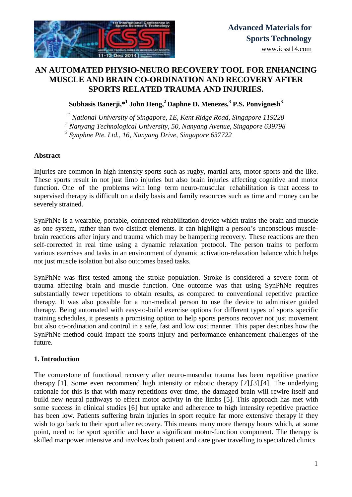

# **AN AUTOMATED PHYSIO-NEURO RECOVERY TOOL FOR ENHANCING MUSCLE AND BRAIN CO-ORDINATION AND RECOVERY AFTER SPORTS RELATED TRAUMA AND INJURIES.**

**Subhasis Banerji,\*<sup>1</sup> John Heng, <sup>2</sup> Daphne D. Menezes,<sup>3</sup> P.S. Ponvignesh<sup>3</sup>**

*<sup>1</sup> National University of Singapore, 1E, Kent Ridge Road, Singapore 119228*

*<sup>2</sup> Nanyang Technological University, 50, Nanyang Avenue, Singapore 639798*

*3 Synphne Pte. Ltd., 16, Nanyang Drive, Singapore 637722*

#### **Abstract**

Injuries are common in high intensity sports such as rugby, martial arts, motor sports and the like. These sports result in not just limb injuries but also brain injuries affecting cognitive and motor function. One of the problems with long term neuro-muscular rehabilitation is that access to supervised therapy is difficult on a daily basis and family resources such as time and money can be severely strained.

SynPhNe is a wearable, portable, connected rehabilitation device which trains the brain and muscle as one system, rather than two distinct elements. It can highlight a person's unconscious musclebrain reactions after injury and trauma which may be hampering recovery. These reactions are then self-corrected in real time using a dynamic relaxation protocol. The person trains to perform various exercises and tasks in an environment of dynamic activation-relaxation balance which helps not just muscle isolation but also outcomes based tasks.

SynPhNe was first tested among the stroke population. Stroke is considered a severe form of trauma affecting brain and muscle function. One outcome was that using SynPhNe requires substantially fewer repetitions to obtain results, as compared to conventional repetitive practice therapy. It was also possible for a non-medical person to use the device to administer guided therapy. Being automated with easy-to-build exercise options for different types of sports specific training schedules, it presents a promising option to help sports persons recover not just movement but also co-ordination and control in a safe, fast and low cost manner. This paper describes how the SynPhNe method could impact the sports injury and performance enhancement challenges of the future.

### **1. Introduction**

The cornerstone of functional recovery after neuro-muscular trauma has been repetitive practice therapy [1]. Some even recommend high intensity or robotic therapy [2],[3],[4]. The underlying rationale for this is that with many repetitions over time, the damaged brain will rewire itself and build new neural pathways to effect motor activity in the limbs [5]. This approach has met with some success in clinical studies [6] but uptake and adherence to high intensity repetitive practice has been low. Patients suffering brain injuries in sport require far more extensive therapy if they wish to go back to their sport after recovery. This means many more therapy hours which, at some point, need to be sport specific and have a significant motor-function component. The therapy is skilled manpower intensive and involves both patient and care giver travelling to specialized clinics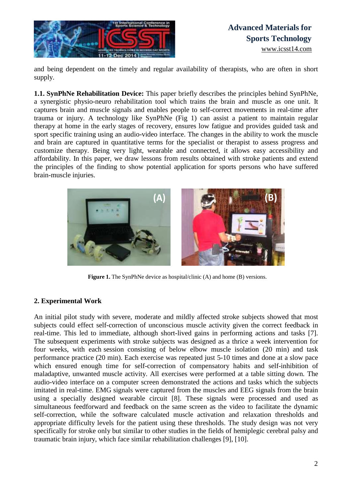

# **Advanced Materials for Sports Technology** [www.icsst14.com](http://www.icsst14.com/)

and being dependent on the timely and regular availability of therapists, who are often in short supply.

**1.1. SynPhNe Rehabilitation Device:** This paper briefly describes the principles behind SynPhNe, a synergistic physio-neuro rehabilitation tool which trains the brain and muscle as one unit. It captures brain and muscle signals and enables people to self-correct movements in real-time after trauma or injury. A technology like SynPhNe (Fig 1) can assist a patient to maintain regular therapy at home in the early stages of recovery, ensures low fatigue and provides guided task and sport specific training using an audio-video interface. The changes in the ability to work the muscle and brain are captured in quantitative terms for the specialist or therapist to assess progress and customize therapy. Being very light, wearable and connected, it allows easy accessibility and affordability. In this paper, we draw lessons from results obtained with stroke patients and extend the principles of the finding to show potential application for sports persons who have suffered brain-muscle injuries.



**Figure 1.** The SynPhNe device as hospital/clinic (A) and home (B) versions.

### **2. Experimental Work**

An initial pilot study with severe, moderate and mildly affected stroke subjects showed that most subjects could effect self-correction of unconscious muscle activity given the correct feedback in real-time. This led to immediate, although short-lived gains in performing actions and tasks [7]. The subsequent experiments with stroke subjects was designed as a thrice a week intervention for four weeks, with each session consisting of below elbow muscle isolation (20 min) and task performance practice (20 min). Each exercise was repeated just 5-10 times and done at a slow pace which ensured enough time for self-correction of compensatory habits and self-inhibition of maladaptive, unwanted muscle activity. All exercises were performed at a table sitting down. The audio-video interface on a computer screen demonstrated the actions and tasks which the subjects imitated in real-time. EMG signals were captured from the muscles and EEG signals from the brain using a specially designed wearable circuit [8]. These signals were processed and used as simultaneous feedforward and feedback on the same screen as the video to facilitate the dynamic self-correction, while the software calculated muscle activation and relaxation thresholds and appropriate difficulty levels for the patient using these thresholds. The study design was not very specifically for stroke only but similar to other studies in the fields of hemiplegic cerebral palsy and traumatic brain injury, which face similar rehabilitation challenges [9], [10].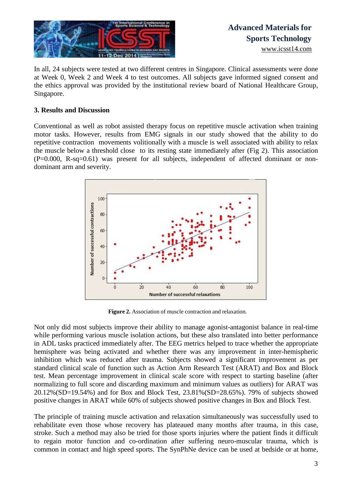

In all, 24 subjects were tested at two different centres in Singapore. Clinical assessments were done at Week 0, Week 2 and Week 4 to test outcomes. All subjects gave informed signed consent and the ethics approval was provided by the institutional review board of National Healthcare Group, Singapore.

#### **3. Results and Discussion**

Conventional as well as robot assisted therapy focus on repetitive muscle activation when training motor tasks. However, results from EMG signals in our study showed that the ability to do repetitive contraction movements volitionally with a muscle is well associated with ability to relax the muscle below a threshold close to its resting state immediately after (Fig 2). This association (P=0.000, R-sq=0.61) was present for all subjects, independent of affected dominant or nondominant arm and severity.



**Figure 2.** Association of muscle contraction and relaxation.

Not only did most subjects improve their ability to manage agonist-antagonist balance in real-time while performing various muscle isolation actions, but these also translated into better performance in ADL tasks practiced immediately after. The EEG metrics helped to trace whether the appropriate hemisphere was being activated and whether there was any improvement in inter-hemispheric inhibition which was reduced after trauma. Subjects showed a significant improvement as per standard clinical scale of function such as Action Arm Research Test (ARAT) and Box and Block test. Mean percentage improvement in clinical scale score with respect to starting baseline (after normalizing to full score and discarding maximum and minimum values as outliers) for ARAT was 20.12%(SD=19.54%) and for Box and Block Test, 23.81%(SD=28.65%). 79% of subjects showed positive changes in ARAT while 60% of subjects showed positive changes in Box and Block Test.

The principle of training muscle activation and relaxation simultaneously was successfully used to rehabilitate even those whose recovery has plateaued many months after trauma, in this case, stroke. Such a method may also be tried for those sports injuries where the patient finds it difficult to regain motor function and co-ordination after suffering neuro-muscular trauma, which is common in contact and high speed sports. The SynPhNe device can be used at bedside or at home,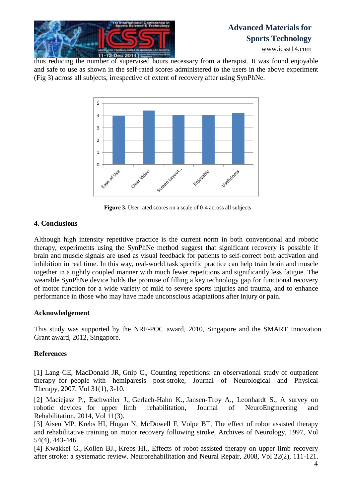

# **Advanced Materials for Sports Technology**

[www.icsst14.com](http://www.icsst14.com/)

thus reducing the number of supervised hours necessary from a therapist. It was found enjoyable and safe to use as shown in the self-rated scores administered to the users in the above experiment (Fig 3) across all subjects, irrespective of extent of recovery after using SynPhNe.



**Figure 3.** User rated scores on a scale of 0-4 across all subjects

## **4. Conclusions**

Although high intensity repetitive practice is the current norm in both conventional and robotic therapy, experiments using the SynPhNe method suggest that significant recovery is possible if brain and muscle signals are used as visual feedback for patients to self-correct both activation and inhibition in real time. In this way, real-world task specific practice can help train brain and muscle together in a tightly coupled manner with much fewer repetitions and significantly less fatigue. The wearable SynPhNe device holds the promise of filling a key technology gap for functional recovery of motor function for a wide variety of mild to severe sports injuries and trauma, and to enhance performance in those who may have made unconscious adaptations after injury or pain.

## **Acknowledgement**

This study was supported by the NRF-POC award, 2010, Singapore and the SMART Innovation Grant award, 2012, Singapore.

## **References**

[1] Lang CE, [MacDonald](http://www.ncbi.nlm.nih.gov/pubmed?term=MacDonald%20JR%5BAuthor%5D&cauthor=true&cauthor_uid=17419883) JR, [Gnip](http://www.ncbi.nlm.nih.gov/pubmed?term=Gnip%20C%5BAuthor%5D&cauthor=true&cauthor_uid=17419883) C., Counting repetitions: an observational study of outpatient therapy for people with hemiparesis post-stroke, [Journal of Neurological](http://www.ncbi.nlm.nih.gov/pubmed/17419883) and Physical [Therapy,](http://www.ncbi.nlm.nih.gov/pubmed/17419883) 2007, Vol 31(1), 3-10.

[2] Maciejasz P., Eschweiler J., Gerlach-Hahn K., Jansen-Troy A., Leonhardt S., A survey on robotic devices for upper limb rehabilitation, Journal of NeuroEngineering and Rehabilitation, 2014, Vol 11(3).

[3] Aisen MP, Krebs HI, Hogan N, McDowell F, Volpe BT, The effect of robot assisted therapy and rehabilitative training on motor recovery following stroke, Archives of Neurology, 1997, Vol 54(4), 443-446.

[4] Kwakkel G., Kollen BJ., Krebs HI., Effects of robot-assisted therapy on upper limb recovery after stroke: a systematic review. Neurorehabilitation and Neural Repair, 2008, Vol 22(2), 111-121.